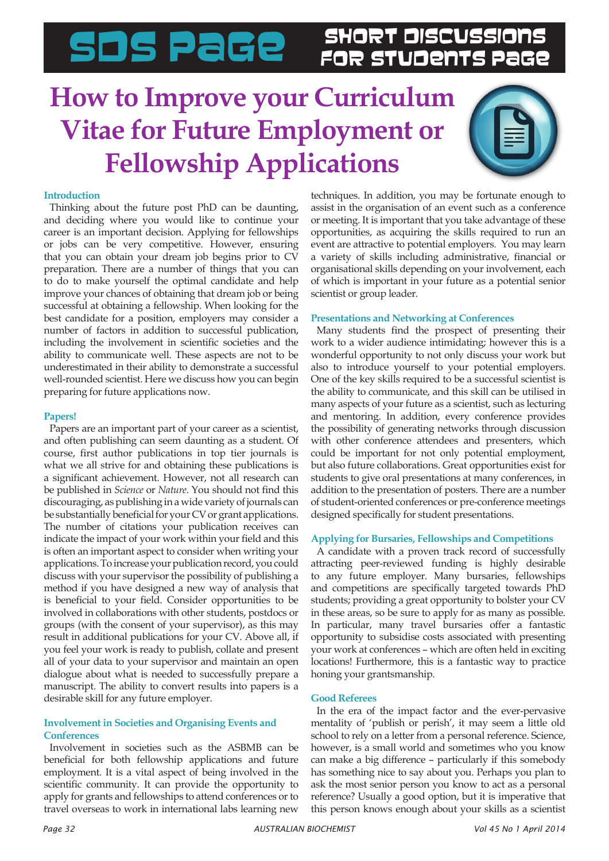## SDS PaGe SHORT DISCUSSIONS

### **How to Improve your Curriculum Vitae for Future Employment or Fellowship Applications**



#### **Introduction**

Thinking about the future post PhD can be daunting, and deciding where you would like to continue your career is an important decision. Applying for fellowships or jobs can be very competitive. However, ensuring that you can obtain your dream job begins prior to CV preparation. There are a number of things that you can to do to make yourself the optimal candidate and help improve your chances of obtaining that dream job or being successful at obtaining a fellowship. When looking for the best candidate for a position, employers may consider a number of factors in addition to successful publication, including the involvement in scientific societies and the ability to communicate well. These aspects are not to be underestimated in their ability to demonstrate a successful well-rounded scientist. Here we discuss how you can begin preparing for future applications now.

#### **Papers!**

Papers are an important part of your career as a scientist, and often publishing can seem daunting as a student. Of course, first author publications in top tier journals is what we all strive for and obtaining these publications is a significant achievement. However, not all research can be published in *Science* or *Nature*. You should not find this discouraging, as publishing in a wide variety of journals can be substantially beneficial for your CV or grant applications. The number of citations your publication receives can indicate the impact of your work within your field and this is often an important aspect to consider when writing your applications. To increase your publication record, you could discuss with your supervisor the possibility of publishing a method if you have designed a new way of analysis that is beneficial to your field. Consider opportunities to be involved in collaborations with other students, postdocs or groups (with the consent of your supervisor), as this may result in additional publications for your CV. Above all, if you feel your work is ready to publish, collate and present all of your data to your supervisor and maintain an open dialogue about what is needed to successfully prepare a manuscript. The ability to convert results into papers is a desirable skill for any future employer.

#### **Involvement in Societies and Organising Events and Conferences**

Involvement in societies such as the ASBMB can be beneficial for both fellowship applications and future employment. It is a vital aspect of being involved in the scientific community. It can provide the opportunity to apply for grants and fellowships to attend conferences or to travel overseas to work in international labs learning new

techniques. In addition, you may be fortunate enough to assist in the organisation of an event such as a conference or meeting. It is important that you take advantage of these opportunities, as acquiring the skills required to run an event are attractive to potential employers. You may learn a variety of skills including administrative, financial or organisational skills depending on your involvement, each of which is important in your future as a potential senior scientist or group leader.

#### **Presentations and Networking at Conferences**

Many students find the prospect of presenting their work to a wider audience intimidating; however this is a wonderful opportunity to not only discuss your work but also to introduce yourself to your potential employers. One of the key skills required to be a successful scientist is the ability to communicate, and this skill can be utilised in many aspects of your future as a scientist, such as lecturing and mentoring. In addition, every conference provides the possibility of generating networks through discussion with other conference attendees and presenters, which could be important for not only potential employment, but also future collaborations. Great opportunities exist for students to give oral presentations at many conferences, in addition to the presentation of posters. There are a number of student-oriented conferences or pre-conference meetings designed specifically for student presentations.

### **Applying for Bursaries, Fellowships and Competitions**

A candidate with a proven track record of successfully attracting peer-reviewed funding is highly desirable to any future employer. Many bursaries, fellowships and competitions are specifically targeted towards PhD students; providing a great opportunity to bolster your CV in these areas, so be sure to apply for as many as possible. In particular, many travel bursaries offer a fantastic opportunity to subsidise costs associated with presenting your work at conferences – which are often held in exciting locations! Furthermore, this is a fantastic way to practice honing your grantsmanship.

### **Good Referees**

In the era of the impact factor and the ever-pervasive mentality of 'publish or perish', it may seem a little old school to rely on a letter from a personal reference. Science, however, is a small world and sometimes who you know can make a big difference – particularly if this somebody has something nice to say about you. Perhaps you plan to ask the most senior person you know to act as a personal reference? Usually a good option, but it is imperative that this person knows enough about your skills as a scientist